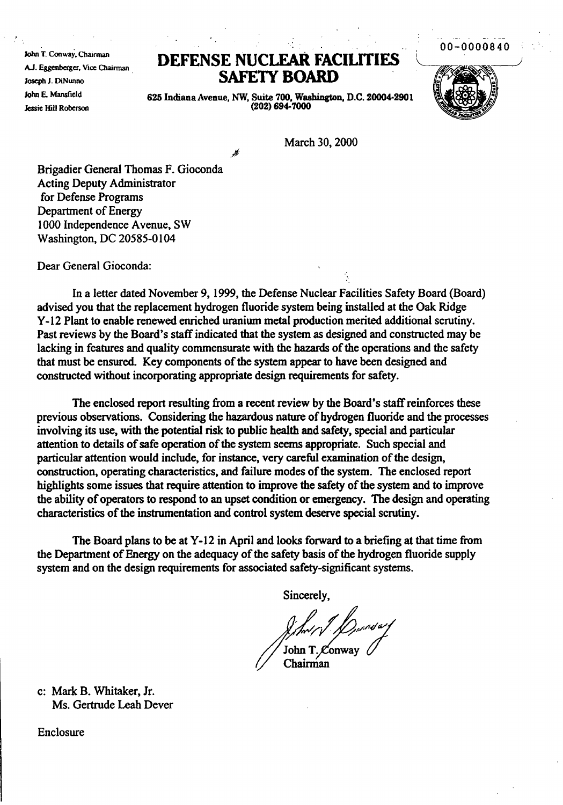00-0000840

John T. Conway, Chairman A.J. Eggenberger, Vice Chairman Joseph J. DiNunno John E. Mansfield Jessie Hill Roberson

## **DEFENSE** NUCLEAR **FACIUTIFS** SAFElY **BOARD**



625 Indiana Avenue, NW, Suite 700, Washington, D.C. 20004-2901  $(202) 694 - 7000$ 

March 30, 2000

Brigadier General Thomas F. Gioconda Acting Deputy Administrator for Defense Programs Department of Energy 1000 Independence Avenue, SW Washington, DC 20585-0104

Dear General Gioconda:

In a letter dated November 9, 1999, the Defense Nuclear Facilities Safety Board (Board) advised you that the replacement hydrogen fluoride system being installed at the Oak Ridge Y-12 Plant to enable renewed enriched uranium metal production merited additional scrutiny. Past reviews by the Board's staffindicated that the system as designed and constructed may be lacking in features and quality commensurate with the hazards of the operations and the safety that must be ensured. Key components of the system appear to have been designed and constructed without incorporating appropriate design requirements for safety.

The enclosed report resulting from a recent review by the Board's staff reinforces these previous observations. Considering the hazardous nature of hydrogen fluoride and the processes involving its use, with the potential risk to public health and safety, special and particular attention to details of safe operation of the system seems appropriate. Such special and particular attention would include, for instance, very careful examination of the design, construction, operating characteristics, and failure modes of the system. The enclosed report highlights some issues that require attention to improve the safety of the system and to improve the ability of operators to respond to an upset condition or emergency. The design and operating characteristics of the instrumentation and control system deserve special scrutiny.

The Board plans to be at Y-12 in April and looks forward to a briefing at that time from the Department of Energy on the adequacy of the safety basis of the hydrogen fluoride supply system and on the design requirements for associated safety-significant systems.

Sincerely,

Art / D<sub>urrul art<br>John T. Conway<br>Chairman</sub>

Chairman

c: Mark B. Whitaker, Jr. Ms. Gertrude Leah Dever

Enclosure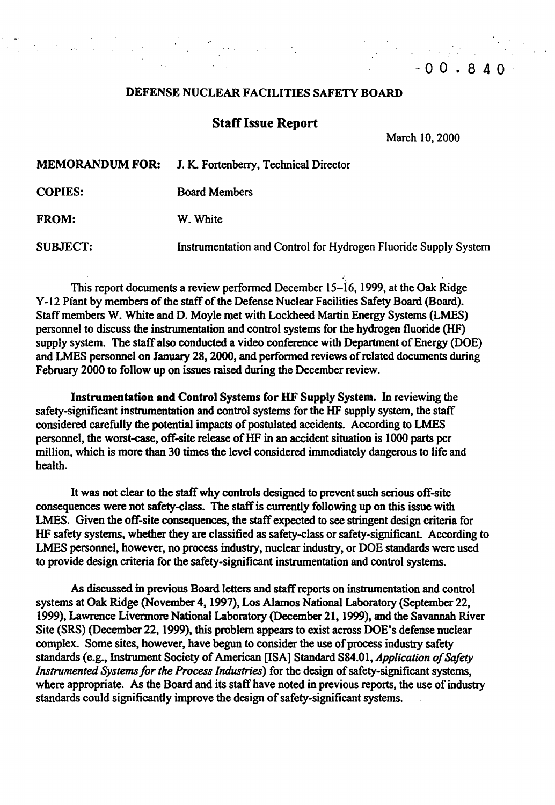## DEFENSE NUCLEAR FACILITIES SAFETY BOARD

## **Staff Issue Report**

March 10, 2000

 $-00.840$ 

MEMORANDUM FOR: J. K.. Fortenbeny, Technical Director

COPIES: Board Members

FROM: W. White

SUBJECT: Instrumentation and Control for Hydrogen Fluoride Supply System

This report documents a review performed December 15-16, 1999, at the Oak Ridge Y-12 Piant by members of the staff of the Defense Nuclear Facilities Safety Board (Board). Staffmembers W. White and D. Moyle met with Lockheed Martin Energy Systems (LMES) personnel to discuss the instrumentation and control systems for the hydrogen fluoride (HF) supply system. The staff also conducted a video conference with Department of Energy (DOE) and LMES personnel on January 28, 2000, and performed reviews of related documents during February 2000 to follow up on issues raised during the December review.

Instrumentation and Control Systems for HF Supply System. In reviewing the safety-significant instrumentation and control systems for the HF supply system, the staff considered carefully the potential impacts of postulated accidents. According to LMES personnel, the worst-case, off-site release of HF in an accident situation is 1000 parts per million, which is more than 30 times the level considered immediately dangerous to life and health.

It was not clear to the staffwhy controls designed to prevent such serious off-site consequences were not safety-class. The staffis currently following up on this issue with LMES. Given the off-site consequences, the staff expected to see stringent design criteria for HF safety systems, whether they are classified as safety-class or safety-significant. According to LMES personnel, however, no process industry, nuclear industry, or DOE standards were used to provide design criteria for the safety-significant instrumentation and control systems.

As discussed in previous Board letters and staff reports on instrumentation and control systems at Oak Ridge (November 4, 1997), Los Alamos National Laboratory (September 22, 1999), Lawrence Livermore National Laboratory (December 21,1999), and the Savannah River Site (SRS) (December 22, 1999), this problem appears to exist across DOE's defense nuclear complex. Some sites, however, have begun to consider the use of process industry safety standards (e.g., Instrument Society of American [ISA] Standard S84.01, *Application of Safety Instrumented Systems for the Process Industries*) for the design of safety-significant systems, where appropriate. As the Board and its staff have noted in previous reports, the use of industry standards could significantly improve the design of safety-significant systems.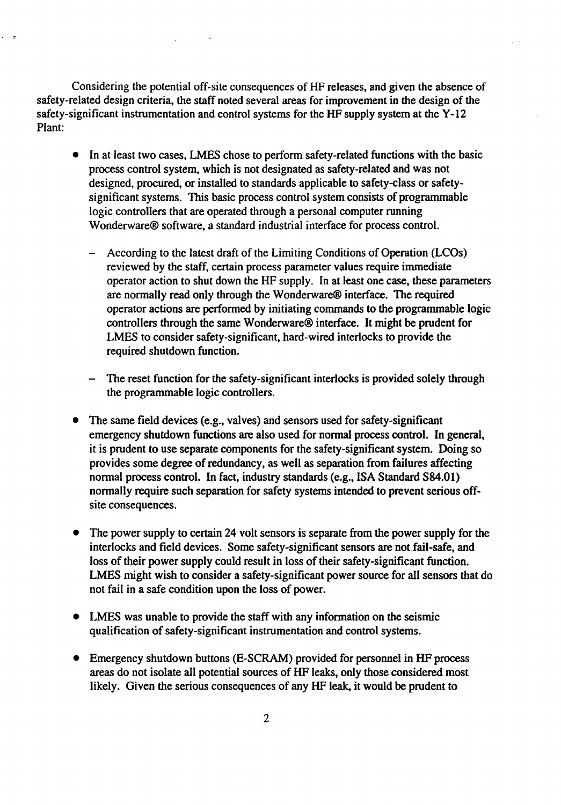Considering the potential off-site consequences of HF releases, and given the absence of safety-related design criteria, the staff noted several areas for improvement in the design of the safety-significant instrumentation and control systems for the HF supply system at the Y-12 Plant:

 $\Delta \sim 10^{11}$  ,  $\Delta \sim 10^{11}$ 

 $\ddot{\phantom{a}}$ 

- In at least two cases, LMES chose to perform safety-related functions with the basic process control system, which is not designated as safety-related and was not designed, procured, or installed to standards applicable to safety-elass or safetysignificant systems. This basic process control system consists of programmable logic controllers that are operated through a personal computer running Wonderware® software, a standard industrial interface for process control.
	- According to the latest draft of the Limiting Conditions of Operation (LCOs) reviewed by the staff, certain process parameter values require immediate operator action to shut down the HF supply. In at least one case, these parameters are normally read only through the Wonderware® interface. The required operator actions are performed by initiating commands to the programmable logic controllers through the same Wonderware® interface. It might be prudent for LMES to consider safety-significant, hard-wired interlocks to provide the required shutdown function.
	- The reset function for the safety-significant interlocks is provided solely through the programmable logic controllers.
- The same field devices (e.g., valves) and sensors used for safety-significant emergency shutdown functions are also used for normal process control. In general, it is prudent to use separate components for the safety-significant system. Doing so provides some degree of redundancy, as well as separation from failures affecting normal process control. In fact, industry standards (e.g., ISA Standard S84.01) normally require such separation for safety systems intended to prevent serious offsite consequences.
- The power supply to certain 24 volt sensors is separate from the power supply for the interlocks and field devices. Some safety-significant sensors are not fail-safe, and loss of their power supply could result in loss of their safety-significant function. LMES might wish to consider a safety-significant power source for all sensors that do not fail in a safe condition upon the loss of power.
- LMES was unable to provide the staff with any information on the seismic qualification of safety-significant instrumentation and control systems.
- Emergency shutdown buttons (E-SCRAM) provided for personnel in HF process areas do not isolate all potential sources of HF leaks, only those considered most likely. Given the serious consequences of any HF leak, it would be prudent to